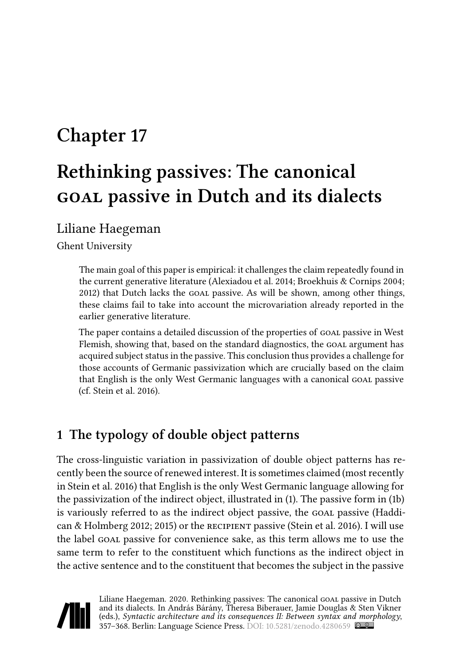# **Chapter 17**

# **Rethinking passives: The canonical goal passive in Dutch and its dialects**

### Liliane Haegeman

Ghent University

The main goal of this paper is empirical: it challenges the claim repeatedly found in the current generative literature [\(Alexiadou et al. 2014](#page-10-0); [Broekhuis & Cornips 2004;](#page-10-1) [2012\)](#page-10-2) that Dutch lacks the GOAL passive. As will be shown, among other things, these claims fail to take into account the microvariation already reported in the earlier generative literature.

The paper contains a detailed discussion of the properties of GOAL passive in West Flemish, showing that, based on the standard diagnostics, the GOAL argument has acquired subject status in the passive. This conclusion thus provides a challenge for those accounts of Germanic passivization which are crucially based on the claim that English is the only West Germanic languages with a canonical GOAL passive (cf. [Stein et al. 2016](#page-11-0)).

## **1 The typology of double object patterns**

The cross-linguistic variation in passivization of double object patterns has recently been the source of renewed interest. It is sometimes claimed (most recently in [Stein et al. 2016\)](#page-11-0) that English is the only West Germanic language allowing for the passivization of the indirect object, illustrated in([1\)](#page-1-0). The passive form in([1](#page-1-0)b) isvariously referred to as the indirect object passive, the GOAL passive ([Haddi](#page-10-3)[can & Holmberg 2012;](#page-10-3) [2015](#page-10-4)) or the recipient passive [\(Stein et al. 2016\)](#page-11-0). I will use the label GOAL passive for convenience sake, as this term allows me to use the same term to refer to the constituent which functions as the indirect object in the active sentence and to the constituent that becomes the subject in the passive



Liliane Haegeman. 2020. Rethinking passives: The canonical GOAL passive in Dutch and its dialects. In András Bárány, Theresa Biberauer, Jamie Douglas & Sten Vikner (eds.), *Syntactic architecture and its consequences II: Between syntax and morphology*, 357–368. Berlin: Language Science Press. DOI: [10.5281/zenodo.4280659](https://doi.org/10.5281/zenodo.4280659)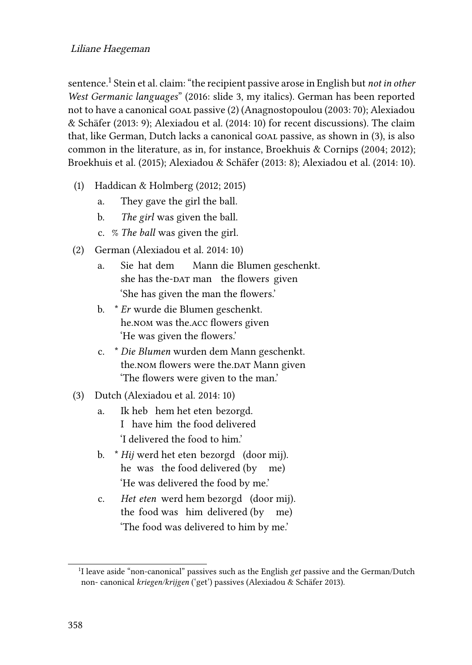sentence.<sup>1</sup> [Stein et al.](#page-11-0) claim: "the recipient passive arose in English but *not in other West Germanic languages*" [\(2016](#page-11-0): slide 3, my italics). German has been reported notto have a canonical GOAL passive ([2\)](#page-1-1) ([Anagnostopoulou \(2003:](#page-10-5) 70); [Alexiadou](#page-10-6) [& Schäfer \(2013:](#page-10-6) 9); [Alexiadou et al. \(2014:](#page-10-0) 10) for recent discussions). The claim that,like German, Dutch lacks a canonical goal passive, as shown in ([3\)](#page-1-2), is also common in the literature, as in, for instance, [Broekhuis & Cornips \(2004](#page-10-1); [2012\)](#page-10-2); [Broekhuis et al. \(2015\)](#page-10-7); [Alexiadou & Schäfer \(2013:](#page-10-6) 8); [Alexiadou et al. \(2014](#page-10-0): 10).

- <span id="page-1-0"></span>(1) [Haddican & Holmberg \(2012](#page-10-3); [2015\)](#page-10-4)
	- a. They gave the girl the ball.
	- b. *The girl* was given the ball.
	- c. % *The ball* was given the girl.
- <span id="page-1-1"></span>(2) German([Alexiadou et al. 2014:](#page-10-0) 10)
	- a. Sie hat dem she has the-<code>DAT</code> man – the flowers–given Mann die Blumen geschenkt. 'She has given the man the flowers.'
	- b. \* *Er* wurde die Blumen geschenkt. he.nom was the.acc flowers given 'He was given the flowers.'
	- c. \* *Die Blumen* wurden dem Mann geschenkt. the.nom flowers were the.par Mann given 'The flowers were given to the man.'
- <span id="page-1-2"></span>(3) Dutch [\(Alexiadou et al. 2014](#page-10-0): 10)
	- a. Ik heb hem het eten bezorgd. I have him the food delivered 'I delivered the food to him.'
	- b. \* *Hij* werd het eten bezorgd (door mij). he was the food delivered (by me) 'He was delivered the food by me.'
	- c. *Het eten* werd hem bezorgd (door mij). the food was him delivered (by me) 'The food was delivered to him by me.'

<sup>&</sup>lt;sup>1</sup>I leave aside "non-canonical" passives such as the English *get* passive and the German/Dutch non- canonical *kriegen/krijgen* ('get') passives [\(Alexiadou & Schäfer 2013\)](#page-10-6).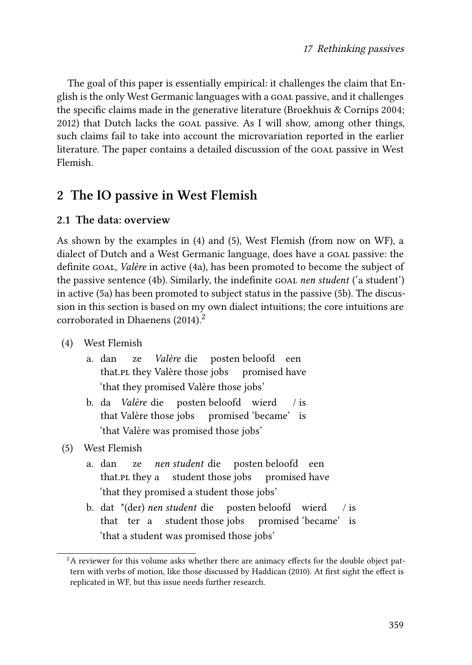The goal of this paper is essentially empirical: it challenges the claim that English is the only West Germanic languages with a GOAL passive, and it challenges the specific claims made in the generative literature [\(Broekhuis & Cornips 2004;](#page-10-1) [2012\)](#page-10-2) that Dutch lacks the goal passive. As I will show, among other things, such claims fail to take into account the microvariation reported in the earlier literature. The paper contains a detailed discussion of the GOAL passive in West Flemish.

## **2 The IO passive in West Flemish**

#### **2.1 The data: overview**

As shown by the examples in([4\)](#page-2-0) and [\(5](#page-2-1)), West Flemish (from now on WF), a dialect of Dutch and a West Germanic language, does have a GOAL passive: the definite goal, *Valère* in active([4a](#page-2-0)), has been promoted to become the subject of the passive sentence([4](#page-2-0)b). Similarly, the indefinite goal *nen student* ('a student') in active([5a](#page-2-1)) has been promoted to subject status in the passive([5b](#page-2-1)). The discussion in this section is based on my own dialect intuitions; the core intuitions are corroborated in [Dhaenens \(2014\)](#page-10-8). 2

- <span id="page-2-0"></span>(4) West Flemish
	- a. dan that.¤L they Valère those jobs ze *Valère* die posten beloofd een promised have 'that they promised Valère those jobs'
	- b. da *Valère* die posten beloofd wierd that Valère those jobs promised 'became' is / is 'that Valère was promised those jobs'
- <span id="page-2-1"></span>(5) West Flemish
	- a. dan that.PL they a student those jobs ze *nen student* die posten beloofd een promised have 'that they promised a student those jobs'
	- b. dat \*(der) *nen student* die posten beloofd wierd that ter a student those jobs promised 'became' is  $/$  is 'that a student was promised those jobs'

<sup>&</sup>lt;sup>2</sup>A reviewer for this volume asks whether there are animacy effects for the double object pattern with verbs of motion, like those discussed by [Haddican \(2010\)](#page-10-9). At first sight the effect is replicated in WF, but this issue needs further research.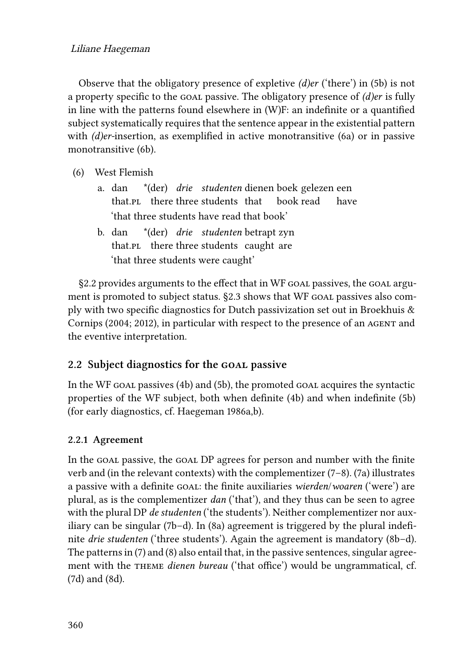#### Liliane Haegeman

Observe that the obligatory presence of expletive *(d)er* ('there') in([5b](#page-2-1)) is not a property specific to the goal passive. The obligatory presence of *(d)er* is fully in line with the patterns found elsewhere in (W)F: an indefinite or a quantified subject systematically requires that the sentence appear in the existential pattern with *(d)er-*insertion, as exemplified in active monotransitive([6a](#page-3-0)) or in passive monotransitive [\(6](#page-3-0)b).

- <span id="page-3-0"></span>(6) West Flemish
	- a. dan that.<sub>PL</sub> there three students that \*(der) *drie studenten* dienen boek gelezen een book read have 'that three students have read that book'
	- b. dan that.pL there three students caught are \*(der) *drie studenten* betrapt zyn 'that three students were caught'

§[2.2](#page-3-1) provides arguments to the effect that in WF GOAL passives, the GOAL argu-ment is promoted to subject status. [§2.3](#page-8-0) shows that WF GOAL passives also comply with two specific diagnostics for Dutch passivization set out in [Broekhuis &](#page-10-1) [Cornips \(2004;](#page-10-1) [2012\)](#page-10-2), in particular with respect to the presence of an AGENT and the eventive interpretation.

### <span id="page-3-1"></span>**2.2 Subject diagnostics for the goal passive**

In the WF goal passives [\(4b](#page-2-0))and ([5b](#page-2-1)), the promoted goal acquires the syntactic properties of the WF subject, both when definite [\(4b](#page-2-0)) and when indefinite([5b](#page-2-1)) (for early diagnostics, cf. [Haegeman 1986a](#page-10-10),[b\)](#page-10-11).

#### **2.2.1 Agreement**

In the GOAL passive, the GOAL DP agrees for person and number with the finite verb and (in the relevant contexts) with the complementizer([7–](#page-4-0)[8\)](#page-4-1).([7a](#page-4-0)) illustrates a passive with a definite goal: the finite auxiliaries *wierden*/*woaren* ('were') are plural, as is the complementizer *dan* ('that'), and they thus can be seen to agree with the plural DP *de studenten* ('the students'). Neither complementizer nor auxiliary can be singular [\(7](#page-4-0)b–d). In [\(8](#page-4-1)a) agreement is triggered by the plural indefinite *drie studenten* ('three students'). Again the agreement is mandatory([8b](#page-4-1)–d). The patterns in([7\)](#page-4-0) and [\(8](#page-4-1)) also entail that, in the passive sentences, singular agreement with the THEME *dienen bureau* ('that office') would be ungrammatical, cf. [\(7](#page-4-0)d) and [\(8](#page-4-1)d).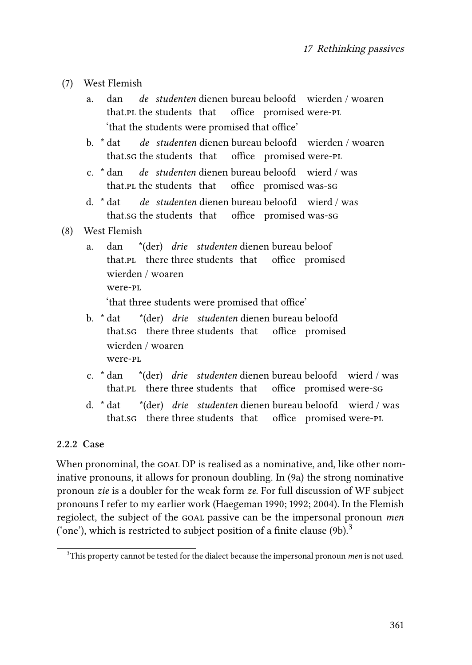- <span id="page-4-0"></span>(7) West Flemish
	- a. dan that.<sub>PL</sub> the students that *de studenten* dienen bureau beloofd wierden / woaren office promised were-pl 'that the students were promised that office'
	- b. \* dat that.sg the students that *de studenten* dienen bureau beloofd wierden / woaren office promised were-pl
	- c. \* dan that. PL the students that *de studenten* dienen bureau beloofd wierd / was office promised was-sg
	- d. \* dat that.sg the students that *de studenten* dienen bureau beloofd wierd / was office promised was-sg
- <span id="page-4-1"></span>(8) West Flemish
	- a. dan that.PL there three students that \*(der) *drie studenten* dienen bureau beloof office promised wierden / woaren were-pl

'that three students were promised that office'

- b. \* dat that.sg there three students that office promised \*(der) *drie studenten* dienen bureau beloofd wierden / woaren were-pl
- c. \* dan that.PL there three students that \*(der) *drie studenten* dienen bureau beloofd wierd / was office promised were-sg
- d. \* dat that.sg there three students that office promised were-pl \*(der) *drie studenten* dienen bureau beloofd wierd / was

#### **2.2.2 Case**

When pronominal, the GOAL DP is realised as a nominative, and, like other nominative pronouns, it allows for pronoun doubling. In [\(9](#page-5-0)a) the strong nominative pronoun *zie* is a doubler for the weak form *ze*. For full discussion of WF subject pronouns I refer to my earlier work([Haegeman 1990](#page-10-12); [1992;](#page-11-1) [2004](#page-11-2)). In the Flemish regiolect, the subject of the goal passive can be the impersonal pronoun *men* ('one'),which is restricted to subject position of a finite clause  $(9b)^3$  $(9b)^3$  $(9b)^3$ .

<sup>3</sup>This property cannot be tested for the dialect because the impersonal pronoun *men* is not used.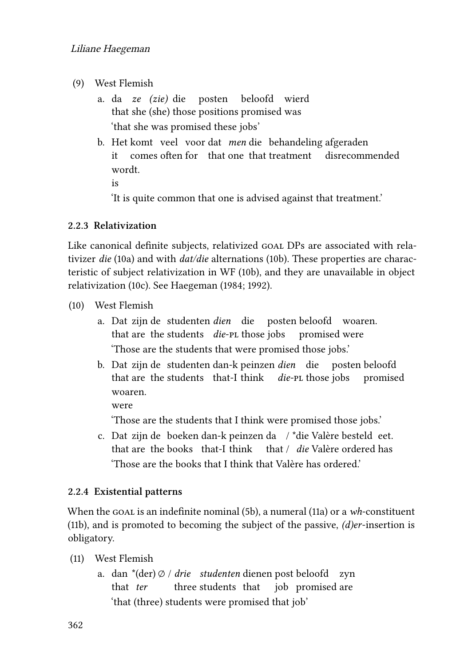- <span id="page-5-0"></span>(9) West Flemish
	- a. da *ze (zie)* die posten beloofd wierd that she (she) those positions promised was 'that she was promised these jobs'
	- b. Het komt veel voor dat *men* die behandeling afgeraden it comes often for that one that treatment disrecommended wordt. is

'It is quite common that one is advised against that treatment.'

#### **2.2.3 Relativization**

Like canonical definite subjects, relativized GOAL DPs are associated with relativizer *die* ([10](#page-5-1)a) and with *dat/die* alternations [\(10b](#page-5-1)). These properties are characteristic of subject relativization in WF([10](#page-5-1)b), and they are unavailable in object relativization [\(10c](#page-5-1)). See [Haegeman \(1984;](#page-10-13) [1992](#page-11-1)).

- <span id="page-5-1"></span>(10) West Flemish
	- a. Dat zijn de studenten *dien* die posten beloofd woaren. that are the students die-PL those jobs promised were 'Those are the students that were promised those jobs.'
	- b. Dat zijn de studenten dan-k peinzen *dien* die posten beloofd that are the students that-I think *die-*pl those jobs promised woaren.

were

'Those are the students that I think were promised those jobs.'

c. Dat zijn de boeken dan-k peinzen da / \*die Valère besteld eet. that are the books that-I think that / die Valère ordered has 'Those are the books that I think that Valère has ordered.'

#### **2.2.4 Existential patterns**

When the goal is an indefinite nominal [\(5](#page-2-1)b),a numeral ([11a](#page-5-2)) or a *wh*-constituent [\(11](#page-5-2)b), and is promoted to becoming the subject of the passive, *(d)er*-insertion is obligatory.

- <span id="page-5-2"></span>(11) West Flemish
	- a. dan \*(der) ∅ / *drie studenten* dienen post beloofd zyn that *ter* three students that job promised are 'that (three) students were promised that job'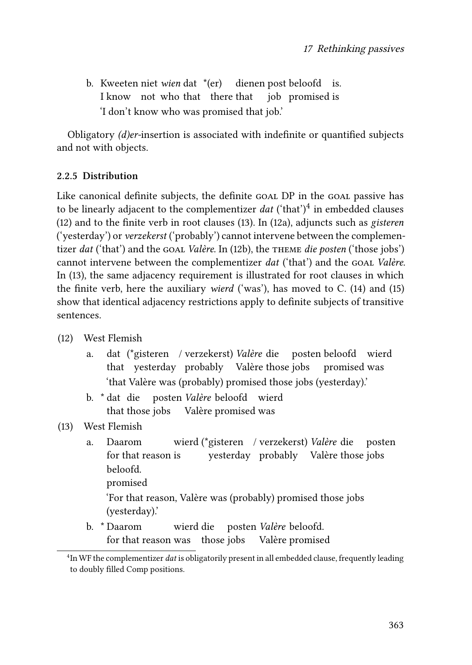b. Kweeten niet *wien* dat \*(er) dienen post beloofd is. I know not who that there that job promised is 'I don't know who was promised that job.'

Obligatory *(d)er-*insertion is associated with indefinite or quantified subjects and not with objects.

#### **2.2.5 Distribution**

Like canonical definite subjects, the definite goal DP in the goal passive has to be linearly adjacent to the complementizer *dat* ('that')<sup>4</sup> in embedded clauses [\(12](#page-6-0)) and to the finite verb in root clauses [\(13](#page-6-1)). In [\(12](#page-6-0)a), adjuncts such as *gisteren* ('yesterday') or *verzekerst* ('probably') cannot intervene between the complementizer *dat* ('that') and the GOAL *Valère*. In [\(12b](#page-6-0)), the THEME *die posten* ('those jobs') cannot intervene between the complementizer *dat* ('that') and the GOAL *Valère*. In([13\)](#page-6-1), the same adjacency requirement is illustrated for root clauses in which the finite verb, here the auxiliary *wierd* ('was'), has moved to C. [\(14](#page-7-0)) and([15\)](#page-7-1) show that identical adjacency restrictions apply to definite subjects of transitive sentences.

- <span id="page-6-0"></span>(12) West Flemish
	- a. dat (\*gisteren / verzekerst) *Valère* die posten beloofd wierd that yesterday probably Valère those jobs promised was 'that Valère was (probably) promised those jobs (yesterday).'
	- b. \* dat die posten *Valère* beloofd wierd that those jobs Valère promised was
- <span id="page-6-1"></span>(13) West Flemish
	- a. Daarom for that reason is wierd (\*gisteren / verzekerst) *Valère* die yesterday probably Valère those jobs posten beloofd. promised 'For that reason, Valère was (probably) promised those jobs (yesterday).'
	- b. \* Daarom for that reason was those jobs wierd die posten *Valère* beloofd. Valère promised

<sup>4</sup> In WF the complementizer *dat* is obligatorily present in all embedded clause, frequently leading to doubly filled Comp positions.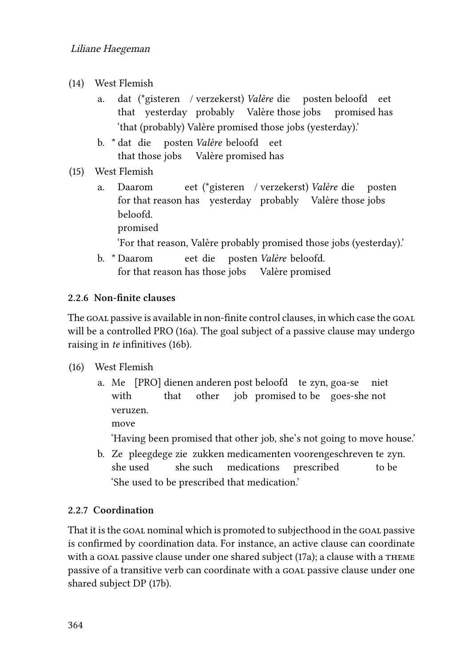- <span id="page-7-0"></span>(14) West Flemish
	- a. dat (\*gisteren / verzekerst) *Valère* die posten beloofd eet that yesterday probably Valère those jobs promised has 'that (probably) Valère promised those jobs (yesterday).'
	- b. \* dat die that those jobs Valère promised has posten *Valère* beloofd eet
- <span id="page-7-1"></span>(15) West Flemish
	- a. Daarom for that reason has yesterday probably Valère those jobs eet (\*gisteren / verzekerst) *Valère* die posten beloofd. promised 'For that reason, Valère probably promised those jobs (yesterday).'
	- b. \* Daarom for that reason has those jobs Valère promised eet die posten *Valère* beloofd.

#### **2.2.6 Non-finite clauses**

The GOAL passive is available in non-finite control clauses, in which case the GOAL will be a controlled PRO([16a](#page-7-2)). The goal subject of a passive clause may undergo raising in *te* infinitives([16b](#page-7-2)).

#### <span id="page-7-2"></span>(16) West Flemish

a. Me [PRO] dienen anderen post beloofd te zyn, goa-se niet with that other job promised to be goes-she not veruzen.

move

'Having been promised that other job, she's not going to move house.'

b. Ze pleegdege zie zukken medicamenten voorengeschreven te zyn. she used she such medications prescribed to be 'She used to be prescribed that medication.'

#### **2.2.7 Coordination**

That it is the GOAL nominal which is promoted to subjecthood in the GOAL passive is confirmed by coordination data. For instance, an active clause can coordinate witha goal passive clause under one shared subject  $(17a)$  $(17a)$  $(17a)$ ; a clause with a THEME passive of a transitive verb can coordinate with a goal passive clause under one shared subject DP [\(17](#page-8-1)b).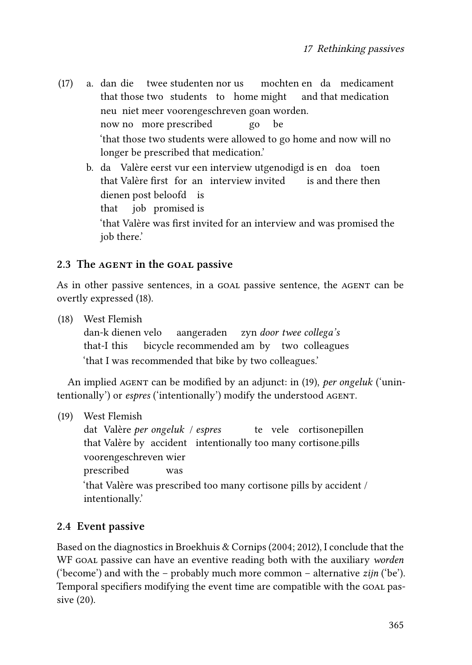- <span id="page-8-1"></span>(17) a. dan die twee studenten nor us that those two students to home might mochten en da medicament and that medication neu niet meer voorengeschreven goan worden. now no more prescribed go be 'that those two students were allowed to go home and now will no longer be prescribed that medication.'
	- b. da Valère eerst vur een interview utgenodigd is en doa toen that Valère first for an interview invited is and there then dienen post beloofd is that job promised is 'that Valère was first invited for an interview and was promised the job there.'

#### <span id="page-8-0"></span>**2.3 The agent in the goal passive**

As in other passive sentences, in a GOAL passive sentence, the AGENT can be overtly expressed [\(18](#page-8-2)).

<span id="page-8-2"></span>(18) West Flemish

dan-k dienen velo that-I this bicycle recommended am by two colleagues aangeraden zyn *door twee collega's* 'that I was recommended that bike by two colleagues.'

An implied agent can be modified by an adjunct: in([19\)](#page-8-3), *per ongeluk* ('unintentionally') or *espres* ('intentionally') modify the understood agent.

<span id="page-8-3"></span>(19) West Flemish

dat Valère *per ongeluk* / *espres* that Valère by accident intentionally too many cortisone.pills te vele cortisonepillen voorengeschreven wier prescribed was 'that Valère was prescribed too many cortisone pills by accident / intentionally.'

#### **2.4 Event passive**

Based on the diagnostics in [Broekhuis & Cornips \(2004;](#page-10-1) [2012](#page-10-2)), I conclude that the WF goal passive can have an eventive reading both with the auxiliary *worden* ('become') and with the – probably much more common – alternative *zijn* ('be'). Temporal specifiers modifying the event time are compatible with the GOAL passive([20](#page-9-0)).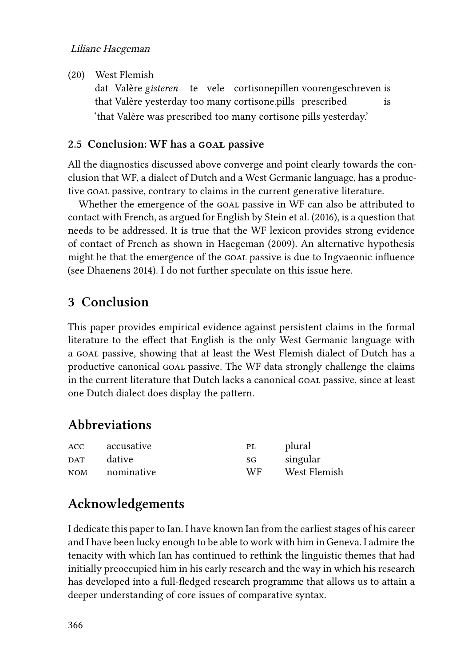#### Liliane Haegeman

<span id="page-9-0"></span>(20) West Flemish

dat Valère gisteren te vele cortisonepillen voorengeschreven is that Valère yesterday too many cortisone.pills prescribed is 'that Valère was prescribed too many cortisone pills yesterday.'

#### **2.5 Conclusion: WF has a goal passive**

All the diagnostics discussed above converge and point clearly towards the conclusion that WF, a dialect of Dutch and a West Germanic language, has a productive GOAL passive, contrary to claims in the current generative literature.

Whether the emergence of the GOAL passive in WF can also be attributed to contact with French, as argued for English by [Stein et al. \(2016\)](#page-11-0), is a question that needs to be addressed. It is true that the WF lexicon provides strong evidence of contact of French as shown in [Haegeman \(2009\)](#page-11-3). An alternative hypothesis might be that the emergence of the GOAL passive is due to Ingvaeonic influence (see [Dhaenens 2014\)](#page-10-8). I do not further speculate on this issue here.

## **3 Conclusion**

This paper provides empirical evidence against persistent claims in the formal literature to the effect that English is the only West Germanic language with a GOAL passive, showing that at least the West Flemish dialect of Dutch has a productive canonical goal passive. The WF data strongly challenge the claims in the current literature that Dutch lacks a canonical GOAL passive, since at least one Dutch dialect does display the pattern.

## **Abbreviations**

| <b>ACC</b> | accusative | PL  | plural       |
|------------|------------|-----|--------------|
| <b>DAT</b> | dative     | SG  | singular     |
| <b>NOM</b> | nominative | WF. | West Flemish |

## **Acknowledgements**

I dedicate this paper to Ian. I have known Ian from the earliest stages of his career and I have been lucky enough to be able to work with him in Geneva. I admire the tenacity with which Ian has continued to rethink the linguistic themes that had initially preoccupied him in his early research and the way in which his research has developed into a full-fledged research programme that allows us to attain a deeper understanding of core issues of comparative syntax.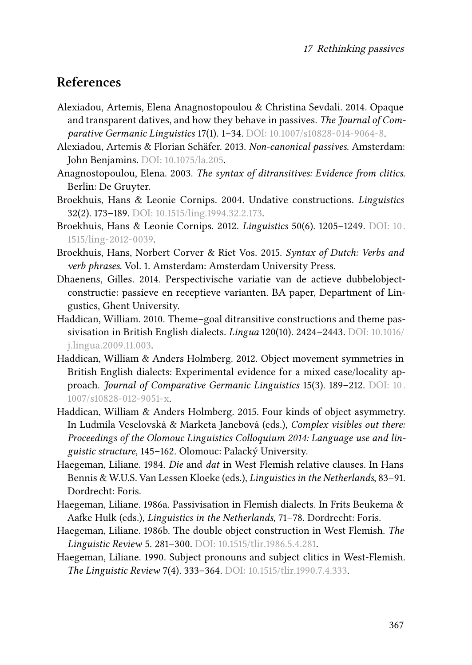## **References**

- <span id="page-10-0"></span>Alexiadou, Artemis, Elena Anagnostopoulou & Christina Sevdali. 2014. Opaque and transparent datives, and how they behave in passives. *The Journal of Comparative Germanic Linguistics* 17(1). 1–34. DOI: [10.1007/s10828-014-9064-8](https://doi.org/10.1007/s10828-014-9064-8).
- <span id="page-10-6"></span>Alexiadou, Artemis & Florian Schäfer. 2013. *Non-canonical passives*. Amsterdam: John Benjamins. DOI: [10.1075/la.205](https://doi.org/10.1075/la.205).
- <span id="page-10-5"></span>Anagnostopoulou, Elena. 2003. *The syntax of ditransitives: Evidence from clitics*. Berlin: De Gruyter.
- <span id="page-10-1"></span>Broekhuis, Hans & Leonie Cornips. 2004. Undative constructions. *Linguistics* 32(2). 173–189. DOI: [10.1515/ling.1994.32.2.173.](https://doi.org/10.1515/ling.1994.32.2.173)
- <span id="page-10-2"></span>Broekhuis, Hans & Leonie Cornips. 2012. *Linguistics* 50(6). 1205–1249. DOI: [10.](https://doi.org/10.1515/ling-2012-0039) [1515/ling-2012-0039.](https://doi.org/10.1515/ling-2012-0039)
- <span id="page-10-7"></span>Broekhuis, Hans, Norbert Corver & Riet Vos. 2015. *Syntax of Dutch: Verbs and verb phrases*. Vol. 1. Amsterdam: Amsterdam University Press.
- <span id="page-10-8"></span>Dhaenens, Gilles. 2014. Perspectivische variatie van de actieve dubbelobjectconstructie: passieve en receptieve varianten. BA paper, Department of Lingustics, Ghent University.
- <span id="page-10-9"></span>Haddican, William. 2010. Theme–goal ditransitive constructions and theme passivisation in British English dialects. *Lingua* 120(10). 2424–2443. DOI: [10.1016/](https://doi.org/10.1016/j.lingua.2009.11.003) [j.lingua.2009.11.003](https://doi.org/10.1016/j.lingua.2009.11.003).
- <span id="page-10-3"></span>Haddican, William & Anders Holmberg. 2012. Object movement symmetries in British English dialects: Experimental evidence for a mixed case/locality approach. *Journal of Comparative Germanic Linguistics* 15(3). 189–212. DOI: [10.](https://doi.org/10.1007/s10828-012-9051-x) [1007/s10828-012-9051-x.](https://doi.org/10.1007/s10828-012-9051-x)
- <span id="page-10-4"></span>Haddican, William & Anders Holmberg. 2015. Four kinds of object asymmetry. In Ludmila Veselovská & Marketa Janebová (eds.), *Complex visibles out there: Proceedings of the Olomouc Linguistics Colloquium 2014: Language use and linguistic structure*, 145–162. Olomouc: Palacký University.
- <span id="page-10-13"></span>Haegeman, Liliane. 1984. *Die* and *dat* in West Flemish relative clauses. In Hans Bennis & W.U.S. Van Lessen Kloeke (eds.), *Linguistics in the Netherlands*, 83–91. Dordrecht: Foris.
- <span id="page-10-10"></span>Haegeman, Liliane. 1986a. Passivisation in Flemish dialects. In Frits Beukema & Aafke Hulk (eds.), *Linguistics in the Netherlands*, 71–78. Dordrecht: Foris.
- <span id="page-10-11"></span>Haegeman, Liliane. 1986b. The double object construction in West Flemish. *The Linguistic Review* 5. 281–300. DOI: [10.1515/tlir.1986.5.4.281.](https://doi.org/10.1515/tlir.1986.5.4.281)
- <span id="page-10-12"></span>Haegeman, Liliane. 1990. Subject pronouns and subject clitics in West-Flemish. *The Linguistic Review* 7(4). 333–364. DOI: [10.1515/tlir.1990.7.4.333.](https://doi.org/10.1515/tlir.1990.7.4.333)